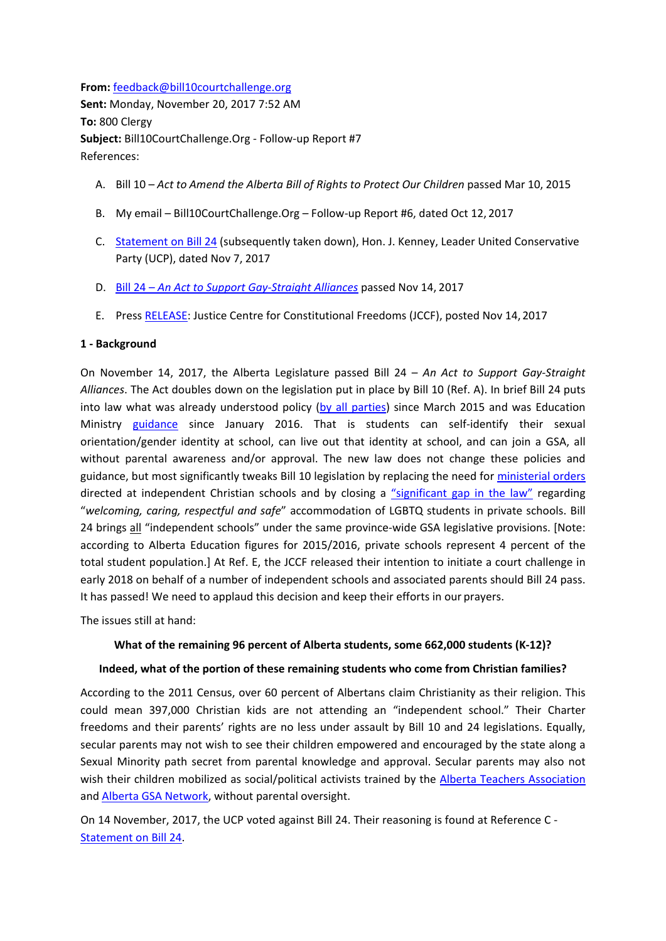**From:** [feedback@bill10courtchallenge.org](mailto:feedback@bill10courtchallenge.org) **Sent:** Monday, November 20, 2017 7:52 AM **To:** 800 Clergy **Subject:** Bill10CourtChallenge.Org - Follow-up Report #7 References:

- A. Bill 10 *Act to Amend the Alberta Bill of Rights to Protect Our Children* passed Mar 10, 2015
- B. My email Bill10CourtChallenge.Org Follow-up Report #6, dated Oct 12, 2017
- C. [Statement on Bill 24](http://www.jasonkenney.ca/statement_on_bill_24) (subsequently taken down), Hon. J. Kenney, Leader United Conservative Party (UCP), dated Nov 7, 2017
- D. Bill 24 *[An Act to Support Gay-Straight Alliances](http://www.assembly.ab.ca/ISYS/LADDAR_files/docs/bills/bill/legislature_29/session_3/20170302_bill-024.pdf)* passed Nov 14, 2017
- E. Press [RELEASE: J](https://www.jccf.ca/release-parents-and-schools-to-launch-court-challenge-to-constitutionality-of-albertas-bill-24/)ustice Centre for Constitutional Freedoms (JCCF), posted Nov 14, 2017

## **1 - Background**

On November 14, 2017, the Alberta Legislature passed Bill 24 – *An Act to Support Gay-Straight Alliances*. The Act doubles down on the legislation put in place by Bill 10 (Ref. A). In brief Bill 24 puts into law what was already understood policy [\(by all parties\)](http://www.cbc.ca/news/canada/edmonton/parental-consent-not-required-for-gay-straight-alliances-says-minister-1.2993145) since March 2015 and was Education Ministry [guidance](https://education.alberta.ca/media/1626737/91383-attachment-1-guidelines-final.pdf) since January 2016. That is students can self-identify their sexual orientation/gender identity at school, can live out that identity at school, and can join a GSA, all without parental awareness and/or approval. The new law does not change these policies and guidance, but most significantly tweaks Bill 10 legislation by replacing the need for [ministerial orders](https://bill10courtchallengeorg.files.wordpress.com/2020/04/c.-legal.pdf) directed at independent Christian schools and by closing a ["significant gap in the law"](https://bill10courtchallengeorg.files.wordpress.com/2020/04/d.-legal.pdf) regarding "*welcoming, caring, respectful and safe*" accommodation of LGBTQ students in private schools. Bill 24 brings all "independent schools" under the same province-wide GSA legislative provisions. [Note: according to Alberta Education figures for 2015/2016, private schools represent 4 percent of the total student population.] At Ref. E, the JCCF released their intention to initiate a court challenge in early 2018 on behalf of a number of independent schools and associated parents should Bill 24 pass. It has passed! We need to applaud this decision and keep their efforts in our prayers.

The issues still at hand:

# **What of the remaining 96 percent of Alberta students, some 662,000 students (K-12)?**

## **Indeed, what of the portion of these remaining students who come from Christian families?**

According to the 2011 Census, over 60 percent of Albertans claim Christianity as their religion. This could mean 397,000 Christian kids are not attending an "independent school." Their Charter freedoms and their parents' rights are no less under assault by Bill 10 and 24 legislations. Equally, secular parents may not wish to see their children empowered and encouraged by the state along a Sexual Minority path secret from parental knowledge and approval. Secular parents may also not wish their children mobilized as social/political activists trained by the [Alberta Teachers Association](https://bill10courtchallengeorg.files.wordpress.com/2020/04/e-ata-anti-homophobia-resources.pdf) and [Alberta GSA Network, w](http://albertagsanetwork.ca/)ithout parental oversight.

On 14 November, 2017, the UCP voted against Bill 24. Their reasoning is found at Reference C - [Statement on Bill 24.](http://www.jasonkenney.ca/statement_on_bill_24)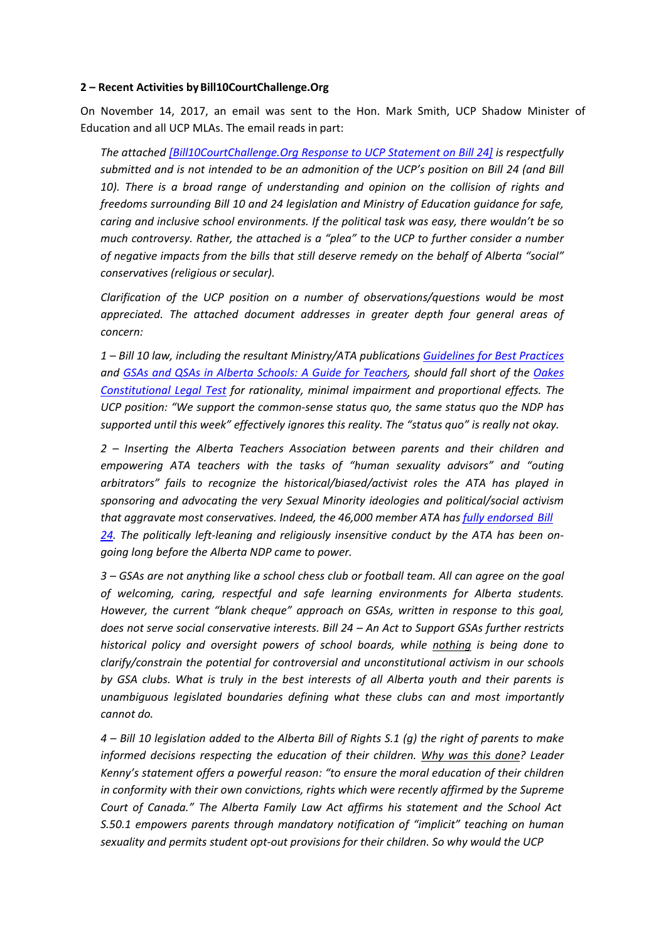### **2 – Recent Activities byBill10CourtChallenge.Org**

On November 14, 2017, an email was sent to the Hon. Mark Smith, UCP Shadow Minister of Education and all UCP MLAs. The email reads in part:

*The attached [\[Bill10CourtChallenge.Org Response to UCP Statement on Bill 24\]](https://bill10courtchallengeorg.files.wordpress.com/2020/05/7-analysis-of-ucp-leader-kenneys-statement-on-bill-24.pdf) is respectfully submitted and is not intended to be an admonition of the UCP's position on Bill 24 (and Bill*  10). There is a broad range of understanding and opinion on the collision of rights and *freedoms surrounding Bill 10 and 24 legislation and Ministry of Education guidance for safe, caring and inclusive school environments. If the political task was easy, there wouldn't be so much controversy. Rather, the attached is a "plea" to the UCP to further consider a number of negative impacts from the bills that still deserve remedy on the behalf of Alberta "social" conservatives (religious or secular).*

*Clarification of the UCP position on a number of observations/questions would be most appreciated. The attached document addresses in greater depth four general areas of concern:*

*1 – Bill 10 law, including the resultant Ministry/ATA publications [Guidelines for Best Practices](https://education.alberta.ca/media/1626737/91383-attachment-1-guidelines-final.pdf) and [GSAs and QSAs in Alberta Schools: A Guide for Teachers, s](http://albertagsanetwork.ca/wp-content/uploads/2016/08/GSAs-in-Alberta-Schools-Guide.pdf)hould fall short of the [Oakes](https://ualawccsprod.srv.ualberta.ca/ccs/index.php/i-o/774-oakes-test) [Constitutional Legal Test](https://ualawccsprod.srv.ualberta.ca/ccs/index.php/i-o/774-oakes-test) for rationality, minimal impairment and proportional effects. The UCP position: "We support the common-sense status quo, the same status quo the NDP has supported until this week" effectively ignores this reality. The "status quo" is really not okay.*

*2 – Inserting the Alberta Teachers Association between parents and their children and empowering ATA teachers with the tasks of "human sexuality advisors" and "outing arbitrators" fails to recognize the historical/biased/activist roles the ATA has played in sponsoring and advocating the very Sexual Minority ideologies and political/social activism that aggravate most conservatives. Indeed, the 46,000 member ATA has [fully endorsed](http://edmontonjournal.com/opinion/columnists/graham-thomson-alberta-teachers-association-says-bill-24-protects-teachers-as-well-as-students) Bill [24.](http://edmontonjournal.com/opinion/columnists/graham-thomson-alberta-teachers-association-says-bill-24-protects-teachers-as-well-as-students) The politically left-leaning and religiously insensitive conduct by the ATA has been ongoing long before the Alberta NDP came to power.*

*3 – GSAs are not anything like a school chess club or football team. All can agree on the goal of welcoming, caring, respectful and safe learning environments for Alberta students. However, the current "blank cheque" approach on GSAs, written in response to this goal, does not serve social conservative interests. Bill 24 – An Act to Support GSAs further restricts historical policy and oversight powers of school boards, while nothing is being done to clarify/constrain the potential for controversial and unconstitutional activism in our schools by GSA clubs. What is truly in the best interests of all Alberta youth and their parents is unambiguous legislated boundaries defining what these clubs can and most importantly cannot do.*

*4 – Bill 10 legislation added to the Alberta Bill of Rights S.1 (g) the right of parents to make informed decisions respecting the education of their children. Why was this done? Leader Kenny's statement offers a powerful reason: "to ensure the moral education of their children in conformity with their own convictions, rights which were recently affirmed by the Supreme Court of Canada." The Alberta Family Law Act affirms his statement and the School Act S.50.1 empowers parents through mandatory notification of "implicit" teaching on human sexuality and permits student opt-out provisions for their children. So why would the UCP*